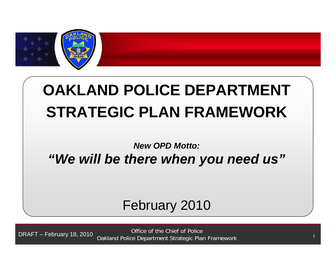

# **OAKLAND POLICE DEPARTMENT STRATEGIC PLAN FRAMEWORK**

### *New OPD Motto: "We will be there when you need us"*

# February 2010

**DRAFT -** 2/17/2010 <sup>1</sup> <sup>1</sup> Office of the Chief of Police Oakland Police Department Strategic Plan Framework DRAFT – February 18, 2010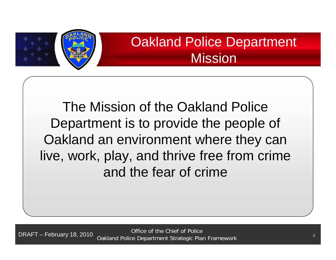

# Oakland Police Department **Mission**

The Mission of the Oakland Police Department is to provide the people of Oakland an environment where they can live, work, play, and thrive free from crime and the fear of crime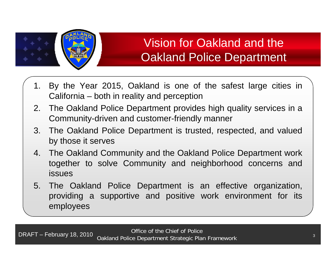

# Vision for Oakland and the Oakland Police Department

- 1. By the Year 2015, Oakland is one of the safest large cities in California – both in reality and perception
- 2. The Oakland Police Department provides high quality services in <sup>a</sup> Community-driven and customer-friendly manner
- 3. The Oakland Police Department is trusted, respected, and valued by those it serves
- 4. The Oakland Community and the Oakland Police Department work together to solve Community and neighborhood concerns and issues
- 5. The Oakland Police Department is an effective organization, providing <sup>a</sup> supportive and positive work environment for its employees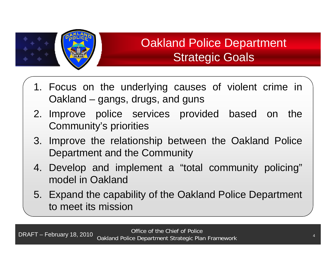

# Oakland Police Department Strategic Goals

- 1. Focus on the underlying causes of violent crime in Oakland – gangs, drugs, and guns
- 2. Improve police services provided based on the Community's priorities
- 3. Improve the relationship between the Oakland Police Department and the Community
- 4. Develop and implement <sup>a</sup> "total community policing" model in Oakland
- 5. Expand the capability of the Oakland Police Department to meet its mission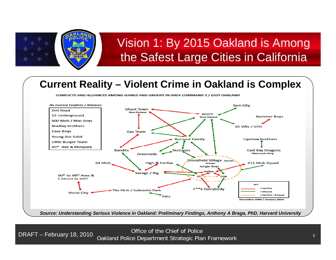

### **Current Reality - Violent Crime in Oakland is Complex**





**DRAFT -**DRAFT – February 18, 2010 2/17/2010 <sup>5</sup> <sup>5</sup> Office of the Chief of Police Oakland Police Department Strategic Plan Framework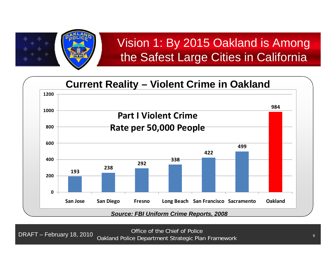



**DRAFT -**DRAFT – February 18, 2010 2/17/2010 <sup>6</sup> <sup>6</sup> Office of the Chief of Police Oakland Police Department Strategic Plan Framework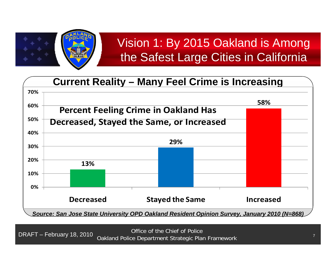

#### **Current Reality Reality – Many Feel Crime is Increasing 60% 58% 70%Percent Feeling Crime in Oakland Has g 29%30%40%50%Decreased, Stayed the Same, or Increased 13%10%20%0%Decreased Stayed the Same Increased** *Source: San Jose State University OPD Oakland Resident Opinion Survey, January 2010 (N=868)*

**DRAFT -**DRAFT – February 18, 2010 2/17/2010 <sup>7</sup> <sup>7</sup> Office of the Chief of Police Oakland Police Department Strategic Plan Framework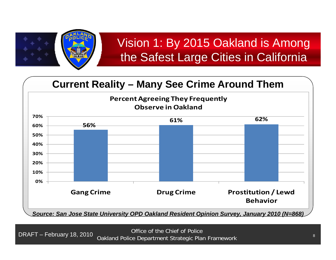

### **Current Reality – Many See Crime Around Them**



*Source: San Jose State University OPD Oakland Resident Opinion Survey, January 2010 (N=868)*

**DRAFT -**DRAFT – February 18, 2010 2/17/2010 <sup>8</sup> <sup>8</sup> Office of the Chief of Police Oakland Police Department Strategic Plan Framework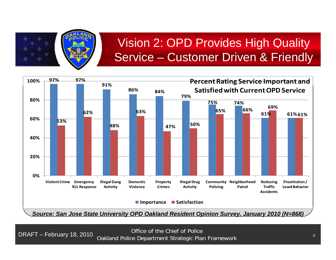

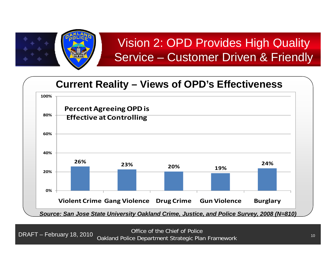

### **C t R lit Curren Reality – Vi f OPD' Eff ti Views o OPD's Effectiveness**

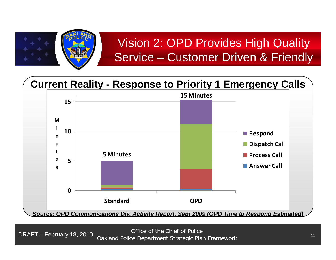

# Current Reality - Response to Priority 1 Emergency Calls



**DRAFT -**DRAFT – February 18, 2010 2/17/2010 <sup>11</sup> <sup>11</sup> Office of the Chief of Police Oakland Police Department Strategic Plan Framework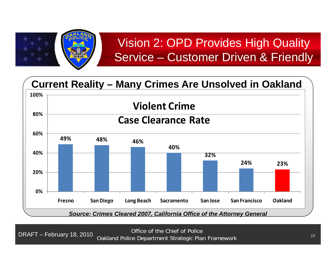

### <u> Current Reality – Many Crimes Are Unsolved in Oakland</u>

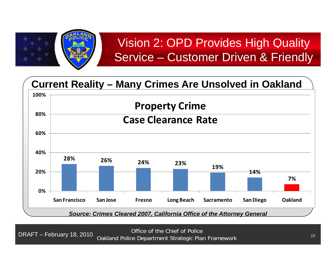

### <u> Current Reality – Many Crimes Are Unsolved in Oakland</u>

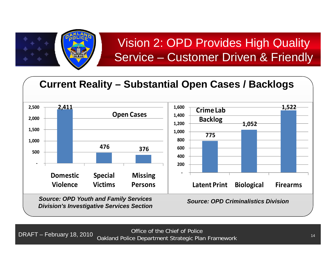

#### Current Reality – Substantial Open Cases / Backlogs **2,500 2,411 Open Cases 1,600 1,522 CrimeLab4761,000 1,500 2,000 7751,052 8001,000 1,200 1,400 Backlog 376‐500DomesticS p pecial Missin g ‐ 200400600***Source: OPD Youth and Family Services Division's Investigative Services Section* **ViolenceVictimsPersons Latent Print Biological Firearms** *Source: OPD Criminalistics Division*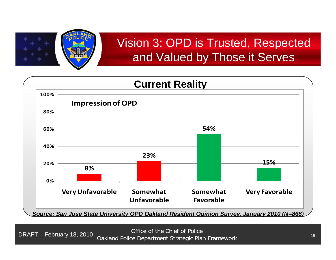

# Vision 3: OPD is Trusted, Res pected and Valued by Those it Serves



**DRAFT -**DRAFT – February 18, 2010 2/17/2010 <sup>15</sup> <sup>15</sup> Office of the Chief of Police Oakland Police Department Strategic Plan Framework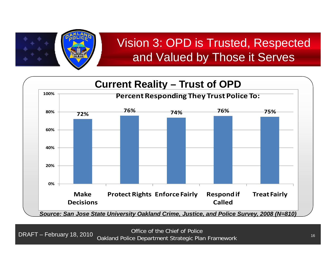

# Vision 3: OPD is Trusted, Res pected and Valued by Those it Serves



**DRAFT -**DRAFT – February 18, 2010 2/17/2010 <sup>16</sup> <sup>16</sup> Office of the Chief of Police Oakland Police Department Strategic Plan Framework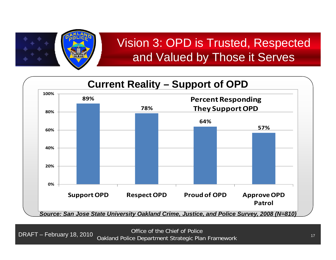

# Vision 3: OPD is Trusted, Res pected and Valued by Those it Serves

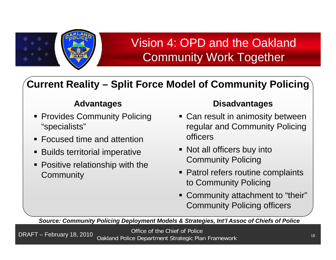

# Vision 4: OPD and the Oakland Community Work Together

### Current Reality – Split Force Model of Community Policing

#### **Advantages**

- **Provides Community Polici** "specialists"
- Focused time and attention
- Builds territorial imperative
- **Positive relationship with the** Communit y

#### **Disadvantages**

- cing status Can result in animosity between regular and Community Policing officers
	- Not all officers buy into Community Policing
	- **Patrol refers routine complaints** to Community Policing
	- Community attachment to "their" Community Policing officers

*Source: Community Policing Deployment Models & Strategies, Int'l Assoc of Chiefs of Police*

**DRAFT -**DRAFT – February 18, 2010 2/17/2010 <sup>18</sup> <sup>18</sup> Office of the Chief of Police Oakland Police Department Strategic Plan Framework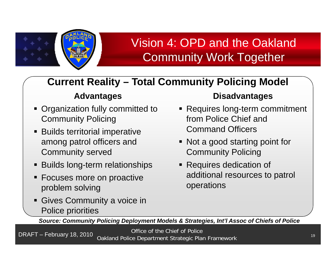

# Vision 4: OPD and the Oakland Community Work Together

### **Current Reality Total Community Policing Model Reality –**

### **Advantages**

- **Organization fully committed to** Community Policing
- **Builds territorial imperative** among patrol officers and Community served
- $\blacksquare$  Builds long-term relationships
- Focuses more on proactive problem solving
- **Gives Community a voice in** Police priorities

### **Disadvantages**

- Requires long-term commitment from Police Chief and Command Officers
- Not a good starting point for Community Policing
- **Requires dedication of** s more on proactive **contact additional resources to patrol** operations

*Source: Community Policing Deployment Models & Strategies, Int'l Assoc of Chiefs of Police*

**DRAFT -**DRAFT – February 18, 2010 2/17/2010 <sup>19</sup> <sup>19</sup> Office of the Chief of Police Oakland Police Department Strategic Plan Framework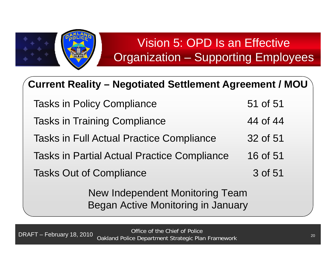

### Current Reality – Negotiated Settlement Agreement / MOU

| New Independent Monitoring Team                    |          |
|----------------------------------------------------|----------|
| <b>Tasks Out of Compliance</b>                     | 3 of 51  |
| <b>Tasks in Partial Actual Practice Compliance</b> | 16 of 51 |
| <b>Tasks in Full Actual Practice Compliance</b>    | 32 of 51 |
| <b>Tasks in Training Compliance</b>                | 44 of 44 |
| <b>Tasks in Policy Compliance</b>                  | 51 of 51 |

Began Active Monitoring in January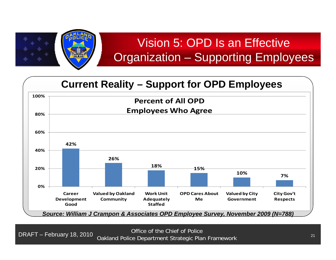



**DRAFT -**DRAFT – February 18, 2010 2/17/2010 <sup>21</sup> <sup>21</sup> Office of the Chief of Police Oakland Police Department Strategic Plan Framework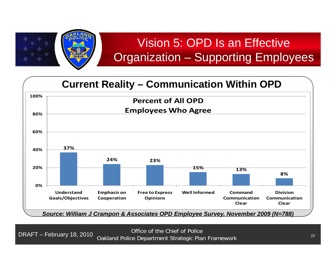

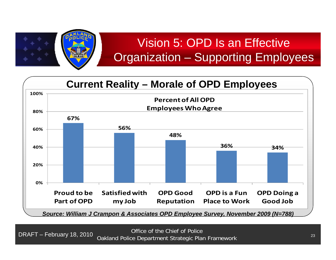

#### **C t R lit Curren Reality – M l f OPD E l Morale o Employees 80%100%Percentof AllOPDEmployees WhoAgree 67%56%48%40% 36% 34%60%20%0%Proud to be Part ofOPDSatisfiedwithmy Job OPD Good Reputation OPD is a FunPlace to Work OPD Doing a Good Job** *Source: William J Crampon & Associates OPD Employee Survey, November 2009 (N=788)*

**DRAFT -**DRAFT – February 18, 2010 2/17/2010 <sup>23</sup> <sup>23</sup> Office of the Chief of Police Oakland Police Department Strategic Plan Framework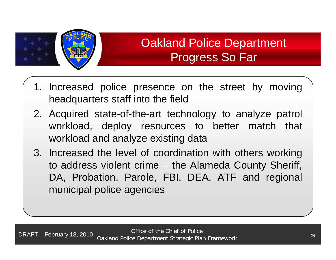

# Oakland Police Department Progress So Far

- 1. Increased police presence on the street by moving headquarters staff into the field
- 2. Acquired state-of-the-art technology to analyze patrol workload, deploy resources to better match that workload and analyze existing data
- 3. Increased the level of coordination with others working to address violent crime – the Alameda County Sheriff, DA, Probation, Parole, FBI, DEA, ATF and regional municipal police agencies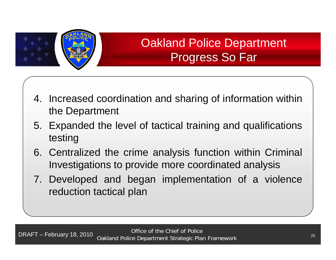

# Oakland Police Department Progress So Far

- 4. Increased coordination and sharing of information within the Department
- 5. Expanded the level of tactical training and qualifications testing
- 6. Centralized the crime analysis function within Criminal Investigations to provide more coordinated analysis
- 7. Developed and began implementation of <sup>a</sup> violence reduction tactical plan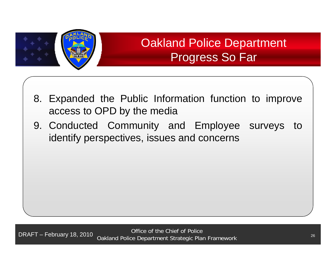

# Oakland Police Department Progress So Far

- 8. Expanded the Public Information function to improve access to OPD by the media
- 9. Conducted Community and Employee surveys to identify perspectives, issues and concerns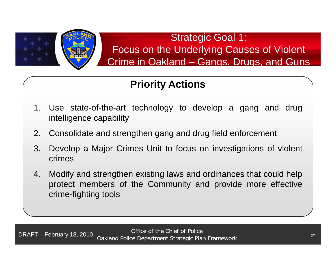

### Strategic Goal 1: Focus on the Underlying Causes of Violent Crime in Oakland – Gangs, Drugs, and Guns

- 1. Use state-of-the-art technology to develop <sup>a</sup> gang and drug intelligence capability
- 2. Consolidate and strengthen gang and drug field enforcement
- 3. Develop a Major Crimes Unit to focus on investigations of violent crimes
- 4. Modify and strengthen existing laws and ordinances that could help protect members of the Community and provide more effective crime-fighting tools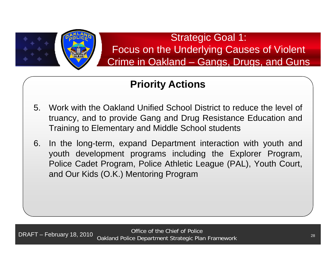

### Strategic Goal 1: Focus on the Underlying Causes of Violent Crime in Oakland – Gangs, Drugs, and Guns

- 5. Work with the Oakland Unified School District to reduce the level of truancy, and to provide Gang and Drug Resistance Education and Training to Elementary and Middle School students
- 6. In the long-term, expand Department interaction with youth and youth development programs including the Explorer Program, Police Cadet Program, Police Athletic League (PAL), Youth Court, and Our Kids (O.K.) Mentoring Program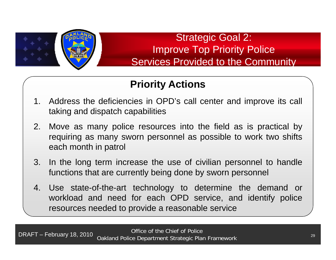

### Strategic Goal 2: Improve Top Priority Police Services Provided to the Community

- 1. Address the deficiencies in OPD's call center and improve its call taking and dispatch capabilities
- 2. Move as many police resources into the field as is practical by requiring as many sworn personnel as possible to work two shifts each month in patrol
- 3. In the long term increase the use of civilian personnel to handle functions that are currently being done by sworn personnel
- 4. Use state-of-the-art technology to determine the demand or workload and need for each OPD service, and identify police resources needed to provide a reasonable service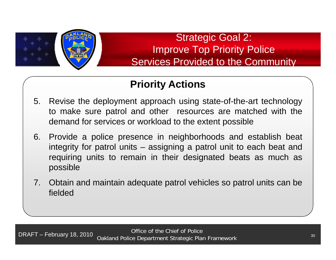

Strategic Goal 2: Improve Top Priority Police Services Provided to the Community

- 5. Revise the deployment approach using state-of-the-art technology to make sure patrol and other resources are matched with the demand for services or workload to the extent possible
- 6. Provide <sup>a</sup> police presence in neighborhoods and establish beat integrity for patrol units – assigning <sup>a</sup> patrol unit to each beat and requiring units to remain in their designated beats as much as possible
- 7. Obtain and maintain adequate patrol vehicles so patrol units can be fielded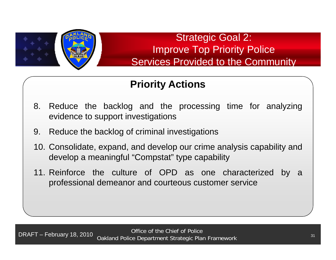

Strategic Goal 2: Improve Top Priority Police Services Provided to the Community

- 8. Reduce the backlog and the processing time for analyzing evidence to support investigations
- 9. Reduce the backlog of criminal investigations
- 10. Consolidate, expand, and develop our crime analysis capability and develop <sup>a</sup> meaningful "Compstat" type capability
- 11. Reinforce the culture of OPD as one characterized by <sup>a</sup> professional demeanor and courteous customer service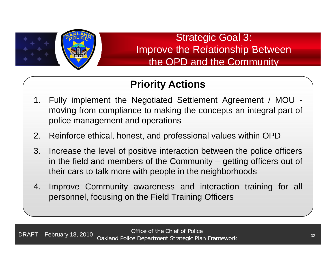

Strategic Goal 3: Improve the Relationship Between the OPD and the Community

- 1. Fully implement the Negotiated Settlement Agreement / MOU moving from compliance to making the concepts an integral part of police management and operations
- 2. Reinforce ethical, honest, and professional values within OPD
- 3. Increase the level of positive interaction between the police officers in the field and members of the Community – getting officers out of their cars to talk more with people in the neighborhoods
- 4. Improve Community awareness and interaction training for all personnel, focusing on the Field Training Officers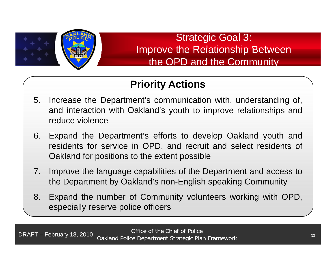

Strategic Goal 3: Improve the Relationship Between the OPD and the Community

- 5. Increase the Department's communication with, understanding of, and interaction with Oakland's youth to improve relationships and reduce violence
- 6. Expand the Department's efforts to develop Oakland youth and residents for service in OPD, and recruit and select residents of Oakland for positions to the extent possible
- 7. Improve the language capabilities of the Department and access to the Department by Oakland's non-English speaking Community
- 8. Expand the number of Community volunteers working with OPD, especially reserve police officers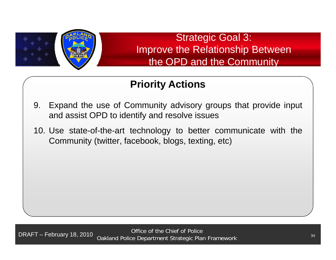

Strategic Goal 3: Improve the Relationship Between the OPD and the Community

- 9. Expand the use of Community advisory groups that provide input and assist OPD to identify and resolve issues
- 10. Use state-of-the-art technology to better communicate with the Community (twitter, facebook, blogs, texting, etc)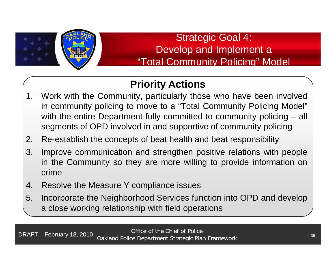

### Strategic Goal 4: Develop and Implement <sup>a</sup> "Total Community Policing" Model

- 1. Work with the Community, particularly those who have been involved in community policing to move to <sup>a</sup> "Total Community Policing Model" with the entire Department fully committed to community policing – all segments of OPD involved in and supportive of community policing
- 2. Re-establish the concepts of beat health and beat responsibility
- 3. Improve communication and strengthen positive relations with people in the Community so they are more willing to provide information on crime
- 4. Resolve the Measure Y compliance issues
- 5. Incorporate the Neighborhood Services function into OPD and develop a close working relationship with field operations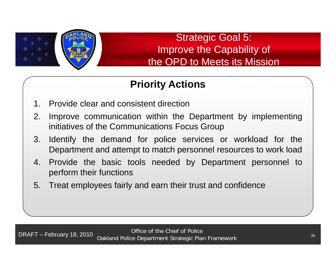

Strategic Goal 5: Improve the Capability of the OPD to Meets its Mission

- 1. Provide clear and consistent direction
- 2. 2. Improve communication within the Department by implementing initiatives of the Communications Focus Group
- 3. Identify the demand for police services or workload for the Department and attempt to match personnel resources to work load
- 4. Provide the basic tools needed by Department personnel to perform their functions
- 5. Treat employees fairly and earn their trust and confidence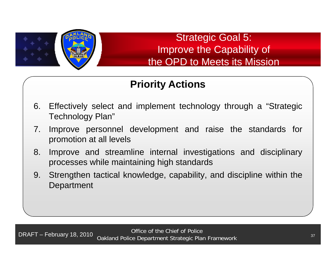

Strategic Goal 5: Improve the Capability of the OPD to Meets its Mission

- 6. Effectively select and implement technology through <sup>a</sup> "Strategic Technology Plan"
- 7. Improve personnel development and raise the standards for promotion at all levels
- 8. Improve and streamline internal investigations and disciplinary processes while maintaining high standards
- 9. Strengthen tactical knowledge, capability, and discipline within the **Department**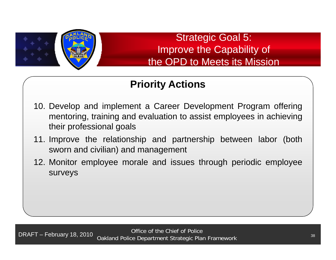

Strategic Goal 5: Improve the Capability of the OPD to Meets its Mission

- 10. Develop and implement <sup>a</sup> Career Development Program offering mentoring, training and evaluation to assist employees in achieving their professional goals
- 11. Improve the relationship and partnership between labor (both sworn and civilian) and management
- 12. Monitor employee morale and issues through periodic employee surveys